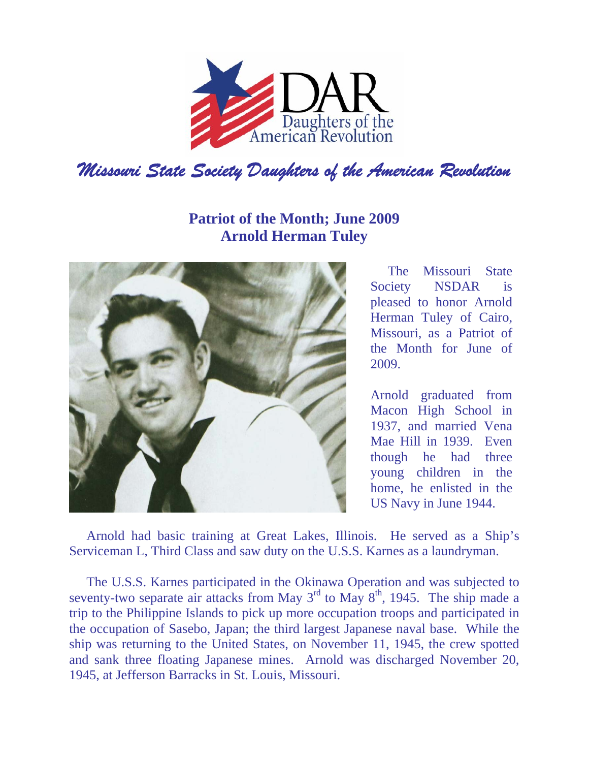

## **Patriot of the Month; June 2009 Arnold Herman Tuley**



The Missouri State Society NSDAR is pleased to honor Arnold Herman Tuley of Cairo, Missouri, as a Patriot of the Month for June of 2009.

Arnold graduated from Macon High School in 1937, and married Vena Mae Hill in 1939. Even though he had three young children in the home, he enlisted in the US Navy in June 1944.

Arnold had basic training at Great Lakes, Illinois. He served as a Ship's Serviceman L, Third Class and saw duty on the U.S.S. Karnes as a laundryman.

The U.S.S. Karnes participated in the Okinawa Operation and was subjected to seventy-two separate air attacks from May  $3<sup>rd</sup>$  to May  $8<sup>th</sup>$ , 1945. The ship made a trip to the Philippine Islands to pick up more occupation troops and participated in the occupation of Sasebo, Japan; the third largest Japanese naval base. While the ship was returning to the United States, on November 11, 1945, the crew spotted and sank three floating Japanese mines. Arnold was discharged November 20, 1945, at Jefferson Barracks in St. Louis, Missouri.